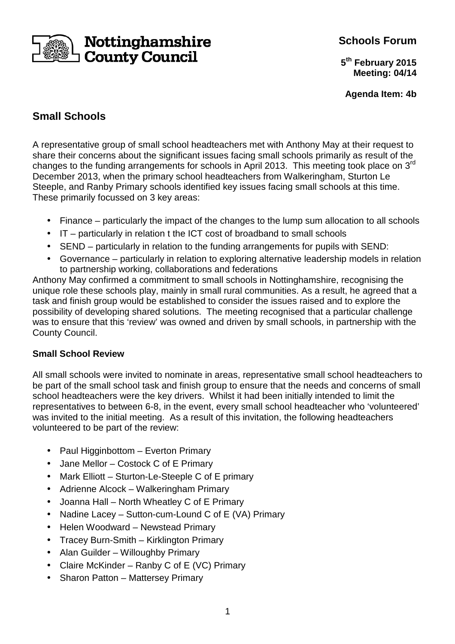# Nottinghamshire **County Council**

# **Schools Forum**

**5 th February 2015 Meeting: 04/14**

**Agenda Item: 4b**

# **Small Schools**

A representative group of small school headteachers met with Anthony May at their request to share their concerns about the significant issues facing small schools primarily as result of the changes to the funding arrangements for schools in April 2013. This meeting took place on 3<sup>rd</sup> December 2013, when the primary school headteachers from Walkeringham, Sturton Le Steeple, and Ranby Primary schools identified key issues facing small schools at this time. These primarily focussed on 3 key areas:

- Finance particularly the impact of the changes to the lump sum allocation to all schools
- IT particularly in relation t the ICT cost of broadband to small schools
- SEND particularly in relation to the funding arrangements for pupils with SEND:
- Governance particularly in relation to exploring alternative leadership models in relation to partnership working, collaborations and federations

Anthony May confirmed a commitment to small schools in Nottinghamshire, recognising the unique role these schools play, mainly in small rural communities. As a result, he agreed that a task and finish group would be established to consider the issues raised and to explore the possibility of developing shared solutions. The meeting recognised that a particular challenge was to ensure that this 'review' was owned and driven by small schools, in partnership with the County Council.

## **Small School Review**

All small schools were invited to nominate in areas, representative small school headteachers to be part of the small school task and finish group to ensure that the needs and concerns of small school headteachers were the key drivers. Whilst it had been initially intended to limit the representatives to between 6-8, in the event, every small school headteacher who 'volunteered' was invited to the initial meeting. As a result of this invitation, the following headteachers volunteered to be part of the review:

- Paul Higginbottom Everton Primary
- Jane Mellor Costock C of E Primary
- Mark Elliott Sturton-Le-Steeple C of E primary
- Adrienne Alcock Walkeringham Primary
- Joanna Hall North Wheatley C of E Primary
- Nadine Lacey Sutton-cum-Lound C of E (VA) Primary
- Helen Woodward Newstead Primary
- Tracey Burn-Smith Kirklington Primary
- Alan Guilder Willoughby Primary
- Claire McKinder Ranby C of E (VC) Primary
- Sharon Patton Mattersey Primary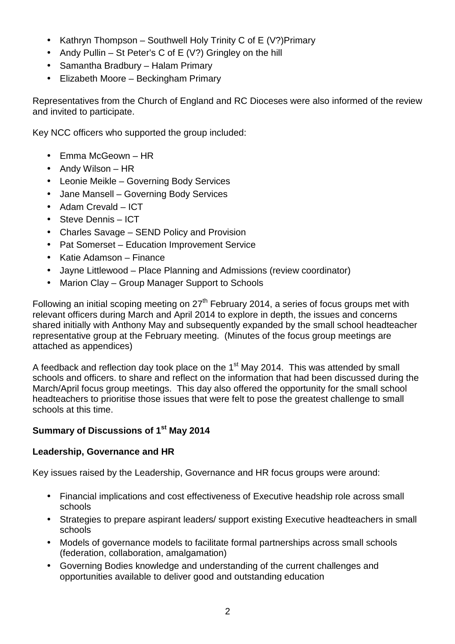- Kathryn Thompson Southwell Holy Trinity C of E  $(V?)$  Primary
- Andy Pullin St Peter's C of E  $(V?)$  Gringley on the hill
- Samantha Bradbury Halam Primary
- Elizabeth Moore Beckingham Primary

Representatives from the Church of England and RC Dioceses were also informed of the review and invited to participate.

Key NCC officers who supported the group included:

- Emma McGeown HR
- Andy Wilson HR
- Leonie Meikle Governing Body Services
- Jane Mansell Governing Body Services
- Adam Crevald ICT
- Steve Dennis ICT
- Charles Savage SEND Policy and Provision
- Pat Somerset Education Improvement Service
- Katie Adamson Finance
- Jayne Littlewood Place Planning and Admissions (review coordinator)
- Marion Clay Group Manager Support to Schools

Following an initial scoping meeting on  $27<sup>th</sup>$  February 2014, a series of focus groups met with relevant officers during March and April 2014 to explore in depth, the issues and concerns shared initially with Anthony May and subsequently expanded by the small school headteacher representative group at the February meeting. (Minutes of the focus group meetings are attached as appendices)

A feedback and reflection day took place on the 1<sup>st</sup> May 2014. This was attended by small schools and officers. to share and reflect on the information that had been discussed during the March/April focus group meetings. This day also offered the opportunity for the small school headteachers to prioritise those issues that were felt to pose the greatest challenge to small schools at this time.

# **Summary of Discussions of 1st May 2014**

## **Leadership, Governance and HR**

Key issues raised by the Leadership, Governance and HR focus groups were around:

- Financial implications and cost effectiveness of Executive headship role across small schools
- Strategies to prepare aspirant leaders/ support existing Executive headteachers in small schools
- Models of governance models to facilitate formal partnerships across small schools (federation, collaboration, amalgamation)
- Governing Bodies knowledge and understanding of the current challenges and opportunities available to deliver good and outstanding education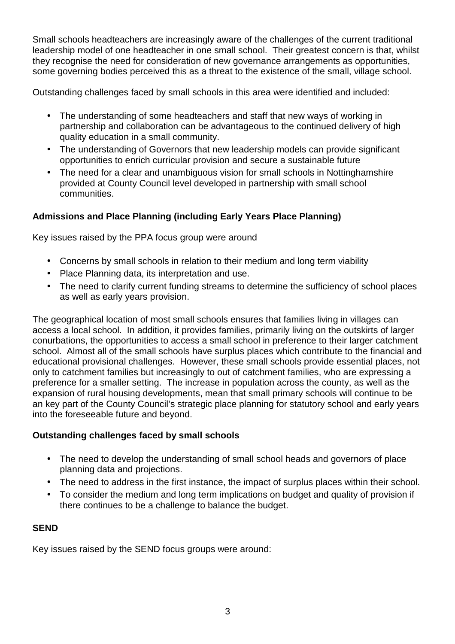Small schools headteachers are increasingly aware of the challenges of the current traditional leadership model of one headteacher in one small school. Their greatest concern is that, whilst they recognise the need for consideration of new governance arrangements as opportunities, some governing bodies perceived this as a threat to the existence of the small, village school.

Outstanding challenges faced by small schools in this area were identified and included:

- The understanding of some headteachers and staff that new ways of working in partnership and collaboration can be advantageous to the continued delivery of high quality education in a small community.
- The understanding of Governors that new leadership models can provide significant opportunities to enrich curricular provision and secure a sustainable future
- The need for a clear and unambiguous vision for small schools in Nottinghamshire provided at County Council level developed in partnership with small school communities.

## **Admissions and Place Planning (including Early Years Place Planning)**

Key issues raised by the PPA focus group were around

- Concerns by small schools in relation to their medium and long term viability
- Place Planning data, its interpretation and use.
- The need to clarify current funding streams to determine the sufficiency of school places as well as early years provision.

The geographical location of most small schools ensures that families living in villages can access a local school. In addition, it provides families, primarily living on the outskirts of larger conurbations, the opportunities to access a small school in preference to their larger catchment school. Almost all of the small schools have surplus places which contribute to the financial and educational provisional challenges. However, these small schools provide essential places, not only to catchment families but increasingly to out of catchment families, who are expressing a preference for a smaller setting. The increase in population across the county, as well as the expansion of rural housing developments, mean that small primary schools will continue to be an key part of the County Council's strategic place planning for statutory school and early years into the foreseeable future and beyond.

#### **Outstanding challenges faced by small schools**

- The need to develop the understanding of small school heads and governors of place planning data and projections.
- The need to address in the first instance, the impact of surplus places within their school.
- To consider the medium and long term implications on budget and quality of provision if there continues to be a challenge to balance the budget.

#### **SEND**

Key issues raised by the SEND focus groups were around: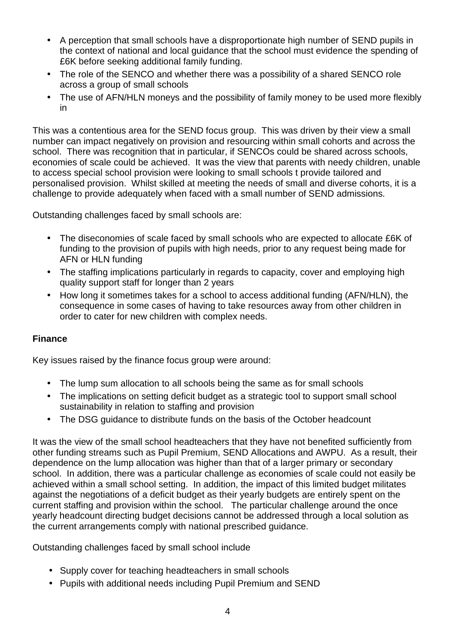- A perception that small schools have a disproportionate high number of SEND pupils in the context of national and local guidance that the school must evidence the spending of £6K before seeking additional family funding.
- The role of the SENCO and whether there was a possibility of a shared SENCO role across a group of small schools
- The use of AFN/HLN moneys and the possibility of family money to be used more flexibly in

This was a contentious area for the SEND focus group. This was driven by their view a small number can impact negatively on provision and resourcing within small cohorts and across the school. There was recognition that in particular, if SENCOs could be shared across schools, economies of scale could be achieved. It was the view that parents with needy children, unable to access special school provision were looking to small schools t provide tailored and personalised provision. Whilst skilled at meeting the needs of small and diverse cohorts, it is a challenge to provide adequately when faced with a small number of SEND admissions.

Outstanding challenges faced by small schools are:

- The diseconomies of scale faced by small schools who are expected to allocate £6K of funding to the provision of pupils with high needs, prior to any request being made for AFN or HLN funding
- The staffing implications particularly in regards to capacity, cover and employing high quality support staff for longer than 2 years
- How long it sometimes takes for a school to access additional funding (AFN/HLN), the consequence in some cases of having to take resources away from other children in order to cater for new children with complex needs.

## **Finance**

Key issues raised by the finance focus group were around:

- The lump sum allocation to all schools being the same as for small schools
- The implications on setting deficit budget as a strategic tool to support small school sustainability in relation to staffing and provision
- The DSG guidance to distribute funds on the basis of the October headcount

It was the view of the small school headteachers that they have not benefited sufficiently from other funding streams such as Pupil Premium, SEND Allocations and AWPU. As a result, their dependence on the lump allocation was higher than that of a larger primary or secondary school. In addition, there was a particular challenge as economies of scale could not easily be achieved within a small school setting. In addition, the impact of this limited budget militates against the negotiations of a deficit budget as their yearly budgets are entirely spent on the current staffing and provision within the school. The particular challenge around the once yearly headcount directing budget decisions cannot be addressed through a local solution as the current arrangements comply with national prescribed guidance.

Outstanding challenges faced by small school include

- Supply cover for teaching headteachers in small schools
- Pupils with additional needs including Pupil Premium and SEND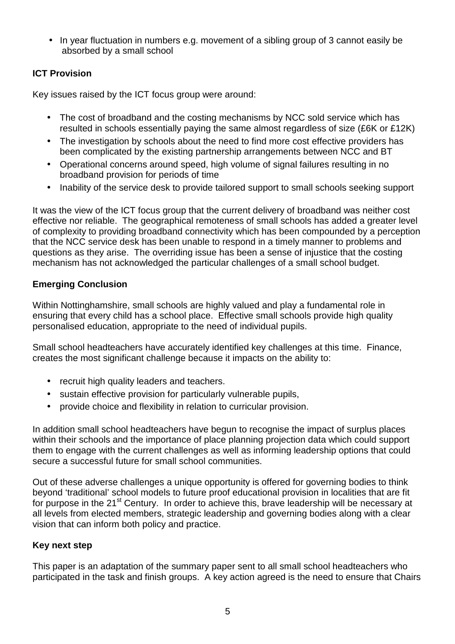• In year fluctuation in numbers e.g. movement of a sibling group of 3 cannot easily be absorbed by a small school

## **ICT Provision**

Key issues raised by the ICT focus group were around:

- The cost of broadband and the costing mechanisms by NCC sold service which has resulted in schools essentially paying the same almost regardless of size (£6K or £12K)
- The investigation by schools about the need to find more cost effective providers has been complicated by the existing partnership arrangements between NCC and BT
- Operational concerns around speed, high volume of signal failures resulting in no broadband provision for periods of time
- Inability of the service desk to provide tailored support to small schools seeking support

It was the view of the ICT focus group that the current delivery of broadband was neither cost effective nor reliable. The geographical remoteness of small schools has added a greater level of complexity to providing broadband connectivity which has been compounded by a perception that the NCC service desk has been unable to respond in a timely manner to problems and questions as they arise. The overriding issue has been a sense of injustice that the costing mechanism has not acknowledged the particular challenges of a small school budget.

## **Emerging Conclusion**

Within Nottinghamshire, small schools are highly valued and play a fundamental role in ensuring that every child has a school place. Effective small schools provide high quality personalised education, appropriate to the need of individual pupils.

Small school headteachers have accurately identified key challenges at this time. Finance, creates the most significant challenge because it impacts on the ability to:

- recruit high quality leaders and teachers.
- sustain effective provision for particularly vulnerable pupils,
- provide choice and flexibility in relation to curricular provision.

In addition small school headteachers have begun to recognise the impact of surplus places within their schools and the importance of place planning projection data which could support them to engage with the current challenges as well as informing leadership options that could secure a successful future for small school communities.

Out of these adverse challenges a unique opportunity is offered for governing bodies to think beyond 'traditional' school models to future proof educational provision in localities that are fit for purpose in the 21<sup>st</sup> Century. In order to achieve this, brave leadership will be necessary at all levels from elected members, strategic leadership and governing bodies along with a clear vision that can inform both policy and practice.

## **Key next step**

This paper is an adaptation of the summary paper sent to all small school headteachers who participated in the task and finish groups. A key action agreed is the need to ensure that Chairs